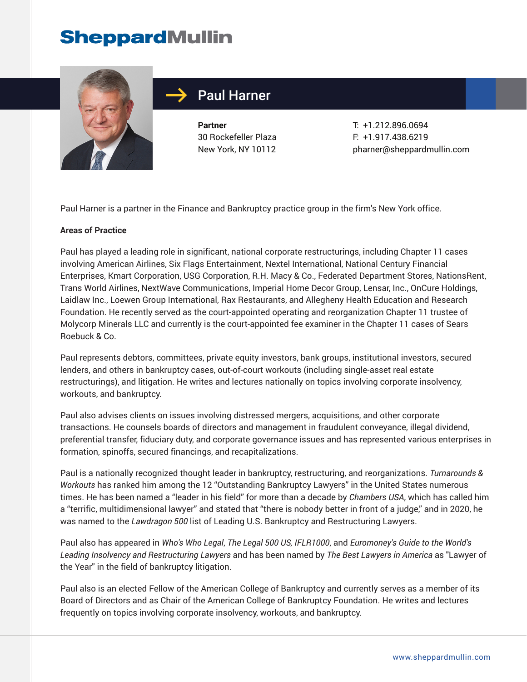# **SheppardMullin**



# Paul Harner

**Partner** 30 Rockefeller Plaza New York, NY 10112

T: +1.212.896.0694 F: +1.917.438.6219 pharner@sheppardmullin.com

Paul Harner is a partner in the Finance and Bankruptcy practice group in the firm's New York office.

#### **Areas of Practice**

Paul has played a leading role in significant, national corporate restructurings, including Chapter 11 cases involving American Airlines, Six Flags Entertainment, Nextel International, National Century Financial Enterprises, Kmart Corporation, USG Corporation, R.H. Macy & Co., Federated Department Stores, NationsRent, Trans World Airlines, NextWave Communications, Imperial Home Decor Group, Lensar, Inc., OnCure Holdings, Laidlaw Inc., Loewen Group International, Rax Restaurants, and Allegheny Health Education and Research Foundation. He recently served as the court-appointed operating and reorganization Chapter 11 trustee of Molycorp Minerals LLC and currently is the court-appointed fee examiner in the Chapter 11 cases of Sears Roebuck & Co.

Paul represents debtors, committees, private equity investors, bank groups, institutional investors, secured lenders, and others in bankruptcy cases, out-of-court workouts (including single-asset real estate restructurings), and litigation. He writes and lectures nationally on topics involving corporate insolvency, workouts, and bankruptcy.

Paul also advises clients on issues involving distressed mergers, acquisitions, and other corporate transactions. He counsels boards of directors and management in fraudulent conveyance, illegal dividend, preferential transfer, fiduciary duty, and corporate governance issues and has represented various enterprises in formation, spinoffs, secured financings, and recapitalizations.

Paul is a nationally recognized thought leader in bankruptcy, restructuring, and reorganizations. *Turnarounds & Workouts* has ranked him among the 12 "Outstanding Bankruptcy Lawyers" in the United States numerous times. He has been named a "leader in his field" for more than a decade by *Chambers USA*, which has called him a "terrific, multidimensional lawyer" and stated that "there is nobody better in front of a judge," and in 2020, he was named to the *Lawdragon 500* list of Leading U.S. Bankruptcy and Restructuring Lawyers.

Paul also has appeared in *Who's Who Legal*, *The Legal 500 US, IFLR1000*, and *Euromoney's Guide to the World's Leading Insolvency and Restructuring Lawyers* and has been named by *The Best Lawyers in America* as "Lawyer of the Year" in the field of bankruptcy litigation.

Paul also is an elected Fellow of the American College of Bankruptcy and currently serves as a member of its Board of Directors and as Chair of the American College of Bankruptcy Foundation. He writes and lectures frequently on topics involving corporate insolvency, workouts, and bankruptcy.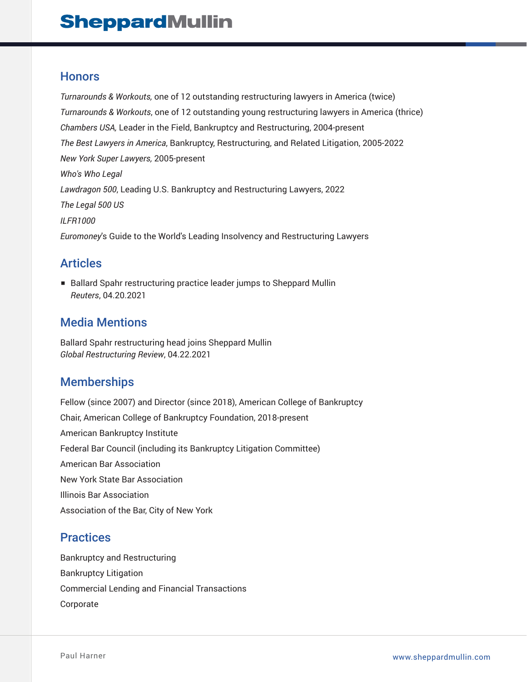# **SheppardMullin**

#### **Honors**

*Turnarounds & Workouts,* one of 12 outstanding restructuring lawyers in America (twice) *Turnarounds & Workouts*, one of 12 outstanding young restructuring lawyers in America (thrice) *Chambers USA,* Leader in the Field, Bankruptcy and Restructuring, 2004-present *The Best Lawyers in America*, Bankruptcy, Restructuring, and Related Litigation, 2005-2022 *New York Super Lawyers,* 2005-present *Who's Who Legal Lawdragon 500*, Leading U.S. Bankruptcy and Restructuring Lawyers, 2022 *The Legal 500 US ILFR1000 Euromoney*'s Guide to the World's Leading Insolvency and Restructuring Lawyers

### Articles

■ Ballard Spahr restructuring practice leader jumps to Sheppard Mullin *Reuters*, 04.20.2021

#### Media Mentions

Ballard Spahr restructuring head joins Sheppard Mullin *Global Restructuring Review*, 04.22.2021

### **Memberships**

Fellow (since 2007) and Director (since 2018), American College of Bankruptcy Chair, American College of Bankruptcy Foundation, 2018-present American Bankruptcy Institute Federal Bar Council (including its Bankruptcy Litigation Committee) American Bar Association New York State Bar Association Illinois Bar Association Association of the Bar, City of New York

#### **Practices**

Bankruptcy and Restructuring Bankruptcy Litigation Commercial Lending and Financial Transactions Corporate